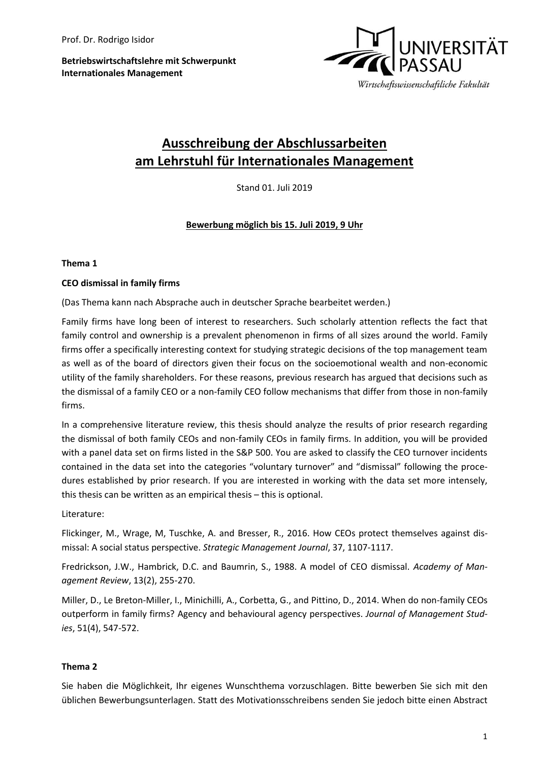**Betriebswirtschaftslehre mit Schwerpunkt Internationales Management**



# **Ausschreibung der Abschlussarbeiten am Lehrstuhl für Internationales Management**

Stand 01. Juli 2019

## **Bewerbung möglich bis 15. Juli 2019, 9 Uhr**

## **Thema 1**

#### **CEO dismissal in family firms**

(Das Thema kann nach Absprache auch in deutscher Sprache bearbeitet werden.)

Family firms have long been of interest to researchers. Such scholarly attention reflects the fact that family control and ownership is a prevalent phenomenon in firms of all sizes around the world. Family firms offer a specifically interesting context for studying strategic decisions of the top management team as well as of the board of directors given their focus on the socioemotional wealth and non-economic utility of the family shareholders. For these reasons, previous research has argued that decisions such as the dismissal of a family CEO or a non-family CEO follow mechanisms that differ from those in non-family firms.

In a comprehensive literature review, this thesis should analyze the results of prior research regarding the dismissal of both family CEOs and non-family CEOs in family firms. In addition, you will be provided with a panel data set on firms listed in the S&P 500. You are asked to classify the CEO turnover incidents contained in the data set into the categories "voluntary turnover" and "dismissal" following the procedures established by prior research. If you are interested in working with the data set more intensely, this thesis can be written as an empirical thesis – this is optional.

Literature:

Flickinger, M., Wrage, M, Tuschke, A. and Bresser, R., 2016. How CEOs protect themselves against dismissal: A social status perspective. *Strategic Management Journal*, 37, 1107-1117.

Fredrickson, J.W., Hambrick, D.C. and Baumrin, S., 1988. A model of CEO dismissal. *Academy of Management Review*, 13(2), 255-270.

Miller, D., Le Breton-Miller, I., Minichilli, A., Corbetta, G., and Pittino, D., 2014. When do non-family CEOs outperform in family firms? Agency and behavioural agency perspectives. *Journal of Management Studies*, 51(4), 547-572.

#### **Thema 2**

Sie haben die Möglichkeit, Ihr eigenes Wunschthema vorzuschlagen. Bitte bewerben Sie sich mit den üblichen Bewerbungsunterlagen. Statt des Motivationsschreibens senden Sie jedoch bitte einen Abstract